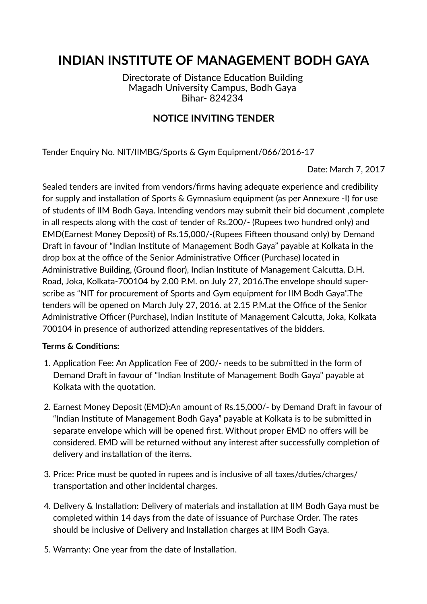## **INDIAN INSTITUTE OF MANAGEMENT BODH GAYA**

Directorate of Distance Education Building Magadh University Campus, Bodh Gaya Bihar- 824234

## **NOTICE INVITING TENDER**

Tender Enquiry No. NIT/IIMBG/Sports & Gym Equipment/066/2016-17

Date: March 7, 2017

Sealed tenders are invited from vendors/firms having adequate experience and credibility for supply and installation of Sports & Gymnasium equipment (as per Annexure -I) for use of students of IIM Bodh Gaya. Intending vendors may submit their bid document ,complete in all respects along with the cost of tender of Rs.200/- (Rupees two hundred only) and EMD(Earnest Money Deposit) of Rs.15,000/-(Rupees Fifteen thousand only) by Demand Draft in favour of "Indian Institute of Management Bodh Gaya" payable at Kolkata in the drop box at the office of the Senior Administrative Officer (Purchase) located in Administrative Building, (Ground floor), Indian Institute of Management Calcutta, D.H. Road, Joka, Kolkata-700104 by 2.00 P.M. on July 27, 2016.The envelope should superscribe as "NIT for procurement of Sports and Gym equipment for IIM Bodh Gaya".The tenders will be opened on March July 27, 2016. at 2.15 P.M. at the Office of the Senior Administrative Officer (Purchase), Indian Institute of Management Calcutta, Joka, Kolkata 700104 in presence of authorized attending representatives of the bidders.

## **Terms & Conditions:**

- 1. Application Fee: An Application Fee of 200/- needs to be submitted in the form of Demand Draft in favour of "Indian Institute of Management Bodh Gaya" payable at Kolkata with the quotation.
- 2. Earnest Money Deposit (EMD): An amount of Rs. 15,000/- by Demand Draft in favour of "Indian Institute of Management Bodh Gaya" payable at Kolkata is to be submitted in separate envelope which will be opened first. Without proper EMD no offers will be considered. EMD will be returned without any interest after successfully completion of delivery and installation of the items.
- 3. Price: Price must be quoted in rupees and is inclusive of all taxes/duties/charges/ transportation and other incidental charges.
- 4. Delivery & Installation: Delivery of materials and installation at IIM Bodh Gaya must be completed within 14 days from the date of issuance of Purchase Order. The rates should be inclusive of Delivery and Installation charges at IIM Bodh Gaya.
- 5. Warranty: One year from the date of Installation.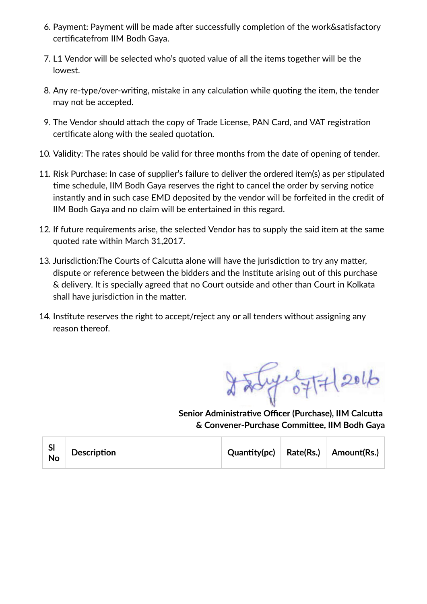- 6. Payment: Payment will be made after successfully completion of the work&satisfactory certificatefrom IIM Bodh Gaya.
- 7. L1 Vendor will be selected who's quoted value of all the items together will be the lowest.
- 8. Any re-type/over-writing, mistake in any calculation while quoting the item, the tender may not be accepted.
- 9. The Vendor should attach the copy of Trade License, PAN Card, and VAT registration certificate along with the sealed quotation.
- 10. Validity: The rates should be valid for three months from the date of opening of tender.
- 11. Risk Purchase: In case of supplier's failure to deliver the ordered item(s) as per stipulated time schedule, IIM Bodh Gaya reserves the right to cancel the order by serving notice instantly and in such case EMD deposited by the vendor will be forfeited in the credit of IIM Bodh Gaya and no claim will be entertained in this regard.
- 12. If future requirements arise, the selected Vendor has to supply the said item at the same quoted rate within March 31,2017.
- 13. Jurisdiction: The Courts of Calcutta alone will have the jurisdiction to try any matter, dispute or reference between the bidders and the Institute arising out of this purchase & delivery. It is specially agreed that no Court outside and other than Court in Kolkata shall have jurisdiction in the matter.
- 14. Institute reserves the right to accept/reject any or all tenders without assigning any reason thereof.

**Senior Administrative Officer (Purchase), IIM Calcutta**  $&$  **Convener-Purchase Committee, IIM Bodh Gaya** 

| SI<br>No | Description |  |  | $\mathsf{Quantity}(\mathsf{pc})$ Rate(Rs.) Amount(Rs.) |
|----------|-------------|--|--|--------------------------------------------------------|
|----------|-------------|--|--|--------------------------------------------------------|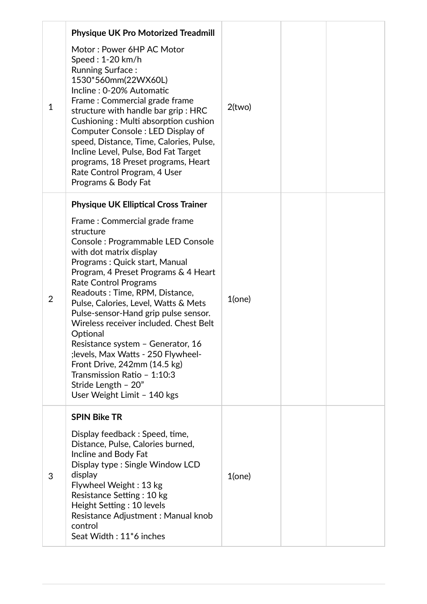| $\mathbf 1$    | <b>Physique UK Pro Motorized Treadmill</b><br>Motor: Power 6HP AC Motor<br>Speed: 1-20 km/h<br><b>Running Surface:</b><br>1530*560mm(22WX60L)<br>Incline: 0-20% Automatic<br>Frame: Commercial grade frame<br>structure with handle bar grip: HRC<br>Cushioning: Multi absorption cushion<br>Computer Console: LED Display of<br>speed, Distance, Time, Calories, Pulse,<br>Incline Level, Pulse, Bod Fat Target<br>programs, 18 Preset programs, Heart                                                                                                                                                                                     | $2$ (two) |  |
|----------------|---------------------------------------------------------------------------------------------------------------------------------------------------------------------------------------------------------------------------------------------------------------------------------------------------------------------------------------------------------------------------------------------------------------------------------------------------------------------------------------------------------------------------------------------------------------------------------------------------------------------------------------------|-----------|--|
|                | Rate Control Program, 4 User<br>Programs & Body Fat                                                                                                                                                                                                                                                                                                                                                                                                                                                                                                                                                                                         |           |  |
| $\overline{2}$ | <b>Physique UK Elliptical Cross Trainer</b><br>Frame: Commercial grade frame<br>structure<br>Console: Programmable LED Console<br>with dot matrix display<br>Programs: Quick start, Manual<br>Program, 4 Preset Programs & 4 Heart<br><b>Rate Control Programs</b><br>Readouts: Time, RPM, Distance,<br>Pulse, Calories, Level, Watts & Mets<br>Pulse-sensor-Hand grip pulse sensor.<br>Wireless receiver included. Chest Belt<br>Optional<br>Resistance system - Generator, 16<br>; levels, Max Watts - 250 Flywheel-<br>Front Drive, 242mm (14.5 kg)<br>Transmission Ratio - 1:10:3<br>Stride Length - 20"<br>User Weight Limit - 140 kgs | $1$ (one) |  |
| 3              | <b>SPIN Bike TR</b><br>Display feedback: Speed, time,<br>Distance, Pulse, Calories burned,<br>Incline and Body Fat<br>Display type: Single Window LCD<br>display<br>Flywheel Weight: 13 kg<br>Resistance Setting: 10 kg<br>Height Setting: 10 levels<br>Resistance Adjustment: Manual knob<br>control<br>Seat Width: 11 <sup>*</sup> 6 inches                                                                                                                                                                                                                                                                                               | $1$ (one) |  |